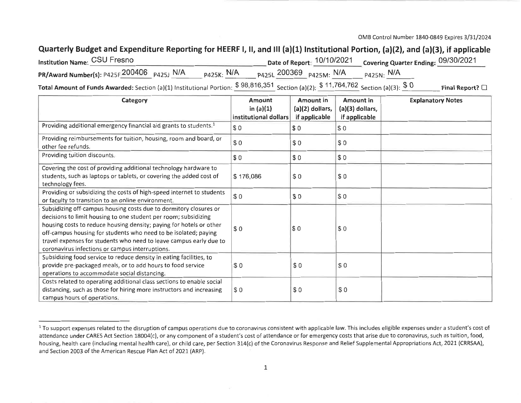OMB Control Number 1840-0849 Expires 3/31/2024

## Quarterly Budget and Expenditure Reporting for HEERF I, II, and III (a)(1) Institutional Portion, (a)(2), and (a)(3), if applicable

| Institution Name: CSU Fresno                                                             |                   | Date of Report: <sup>10/10/2021</sup> Covering Quarter Ending: <sup>09/30/2021</sup> |
|------------------------------------------------------------------------------------------|-------------------|--------------------------------------------------------------------------------------|
| PR/Award Number(s): P425F 200406 P425J N/A P425K: N/A P425L 200369 P425M: N/A P425N: N/A |                   |                                                                                      |
|                                                                                          | $A A B A A A B A$ |                                                                                      |

Total Amount of Funds Awarded: Section (a)(1) Institutional Portion:  $$98,816,351$  Section (a)(2):  $$11,764,762$  Section (a)(3):  $$0$  Final Report?  $\square$ 

| Category                                                                                                                                                                                                                                                                                                                                                                                                | Amount<br>in $(a)(1)$<br>institutional dollars | Amount in<br>$(a)(2)$ dollars,<br>if applicable | <b>Amount in</b><br>$(a)(3)$ dollars,<br>if applicable | <b>Explanatory Notes</b> |
|---------------------------------------------------------------------------------------------------------------------------------------------------------------------------------------------------------------------------------------------------------------------------------------------------------------------------------------------------------------------------------------------------------|------------------------------------------------|-------------------------------------------------|--------------------------------------------------------|--------------------------|
| Providing additional emergency financial aid grants to students. <sup>1</sup>                                                                                                                                                                                                                                                                                                                           | $\vert$ \$0                                    | \$0                                             | \$0                                                    |                          |
| Providing reimbursements for tuition, housing, room and board, or<br>other fee refunds.                                                                                                                                                                                                                                                                                                                 | $\sqrt{50}$                                    | \$0                                             | \$0                                                    |                          |
| Providing tuition discounts.                                                                                                                                                                                                                                                                                                                                                                            | \$0                                            | \$0                                             | \$0                                                    |                          |
| Covering the cost of providing additional technology hardware to<br>students, such as laptops or tablets, or covering the added cost of<br>technology fees.                                                                                                                                                                                                                                             | \$176,086                                      | \$0                                             | \$0                                                    |                          |
| Providing or subsidizing the costs of high-speed internet to students<br>or faculty to transition to an online environment.                                                                                                                                                                                                                                                                             | I\$ 0                                          | \$0                                             | \$0                                                    |                          |
| Subsidizing off-campus housing costs due to dormitory closures or<br>decisions to limit housing to one student per room; subsidizing<br>housing costs to reduce housing density; paying for hotels or other<br>off-campus housing for students who need to be isolated; paying<br>travel expenses for students who need to leave campus early due to<br>coronavirus infections or campus interruptions. | \$0                                            | IS 0                                            | \$0                                                    |                          |
| Subsidizing food service to reduce density in eating facilities, to<br>provide pre-packaged meals, or to add hours to food service<br>operations to accommodate social distancing.                                                                                                                                                                                                                      | \$0                                            | \$0                                             | \$0                                                    |                          |
| Costs related to operating additional class sections to enable social<br>distancing, such as those for hiring more instructors and increasing<br>campus hours of operations.                                                                                                                                                                                                                            | \$0                                            | \$0                                             | \$0                                                    |                          |

<sup>&</sup>lt;sup>1</sup> To support expenses related to the disruption of campus operations due to coronavirus consistent with applicable law. This includes eligible expenses under a student's cost of attendance under CARES Act Section 18004(c), or any component of a student's cost of attendance or for emergency costs that arise due to coronavirus, such as tuition, food, housing, health care (including mental health care), or child care, per Section 314(c) of the Coronavirus Response and Relief Supplemental Appropriations Act, 2021 (CRRSAA), and Section 2003 of the American Rescue Plan Act of 2021 (ARP).